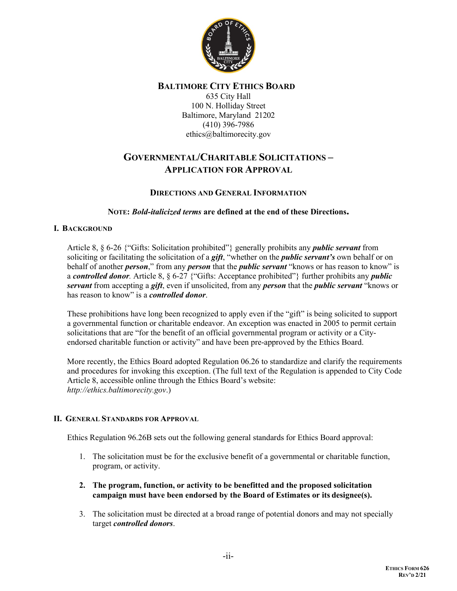

## **BALTIMORE CITY ETHICS BOARD**

635 City Hall 100 N. Holliday Street Baltimore, Maryland 21202 (410) 396-7986 [ethics@baltimorecity.gov](mailto:ethics@baltimorecity.gov)

# **GOVERNMENTAL/CHARITABLE SOLICITATIONS – APPLICATION FOR APPROVAL**

## **DIRECTIONS AND GENERAL INFORMATION**

## **NOTE:** *Bold-italicized terms* **are defined at the end of these Directions.**

## **I. BACKGROUND**

Article 8, § 6-26 {"Gifts: Solicitation prohibited"} generally prohibits any *public servant* from soliciting or facilitating the solicitation of a *gift*, "whether on the *public servant's* own behalf or on behalf of another *person*," from any *person* that the *public servant* "knows or has reason to know" is a *controlled donor.* Article 8, § 6-27 {"Gifts: Acceptance prohibited"} further prohibits any *public servant* from accepting a *gift*, even if unsolicited, from any *person* that the *public servant* "knows or has reason to know" is a *controlled donor*.

These prohibitions have long been recognized to apply even if the "gift" is being solicited to support a governmental function or charitable endeavor. An exception was enacted in 2005 to permit certain solicitations that are "for the benefit of an official governmental program or activity or a Cityendorsed charitable function or activity" and have been pre-approved by the Ethics Board.

More recently, the Ethics Board adopted Regulation 06.26 to standardize and clarify the requirements and procedures for invoking this exception. (The full text of the Regulation is appended to City Code Article 8, accessible online through the Ethics Board's website: *http://ethics.baltimorecity.gov*.)

## **II. GENERAL STANDARDS FOR APPROVAL**

Ethics Regulation 96.26B sets out the following general standards for Ethics Board approval:

- 1. The solicitation must be for the exclusive benefit of a governmental or charitable function, program, or activity.
- **2. The program, function, or activity to be benefitted and the proposed solicitation campaign must have been endorsed by the Board of Estimates or its designee(s).**
- 3. The solicitation must be directed at a broad range of potential donors and may not specially target *controlled donors*.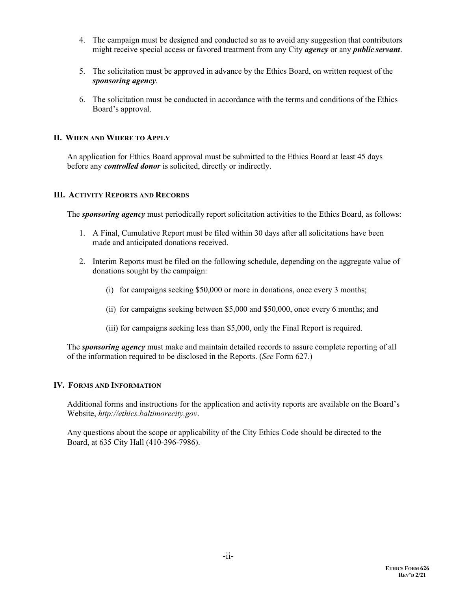- 4. The campaign must be designed and conducted so as to avoid any suggestion that contributors might receive special access or favored treatment from any City *agency* or any *public servant*.
- 5. The solicitation must be approved in advance by the Ethics Board, on written request of the *sponsoring agency*.
- 6. The solicitation must be conducted in accordance with the terms and conditions of the Ethics Board's approval.

## **II. WHEN AND WHERE TO APPLY**

An application for Ethics Board approval must be submitted to the Ethics Board at least 45 days before any *controlled donor* is solicited, directly or indirectly.

## **III. ACTIVITY REPORTS AND RECORDS**

The *sponsoring agency* must periodically report solicitation activities to the Ethics Board, as follows:

- 1. A Final, Cumulative Report must be filed within 30 days after all solicitations have been made and anticipated donations received.
- 2. Interim Reports must be filed on the following schedule, depending on the aggregate value of donations sought by the campaign:
	- (i) for campaigns seeking \$50,000 or more in donations, once every 3 months;
	- (ii) for campaigns seeking between \$5,000 and \$50,000, once every 6 months; and
	- (iii) for campaigns seeking less than \$5,000, only the Final Report is required.

The *sponsoring agency* must make and maintain detailed records to assure complete reporting of all of the information required to be disclosed in the Reports. (*See* Form 627.)

## **IV. FORMS AND INFORMATION**

Additional forms and instructions for the application and activity reports are available on the Board's Website, *[http://ethics.baltimorecity.gov](http://ethics.baltimorecity.gov/)*.

Any questions about the scope or applicability of the City Ethics Code should be directed to the Board, at 635 City Hall (410-396-7986).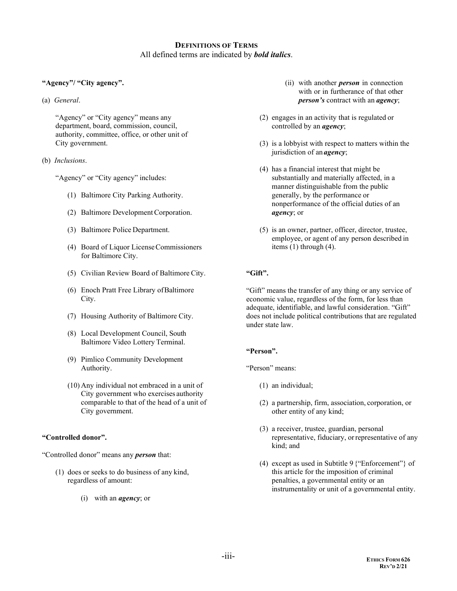## **DEFINITIONS OF TERMS** All defined terms are indicated by *bold italics*.

### **"Agency"/ "City agency".**

(a) *General*.

"Agency" or "City agency" means any department, board, commission, council, authority, committee, office, or other unit of City government.

(b) *Inclusions*.

"Agency" or "City agency" includes:

- (1) Baltimore City Parking Authority.
- (2) Baltimore Development Corporation.
- (3) Baltimore Police Department.
- (4) Board of Liquor LicenseCommissioners for Baltimore City.
- (5) Civilian Review Board of Baltimore City.
- (6) Enoch Pratt Free Library ofBaltimore City.
- (7) Housing Authority of Baltimore City.
- (8) Local Development Council, South Baltimore Video Lottery Terminal.
- (9) Pimlico Community Development Authority.
- (10) Any individual not embraced in a unit of City government who exercises authority comparable to that of the head of a unit of City government.

#### **"Controlled donor".**

"Controlled donor" means any *person* that:

- (1) does or seeks to do business of any kind, regardless of amount:
	- (i) with an *agency*; or
- (ii) with another *person* in connection with or in furtherance of that other *person's* contract with an *agency*;
- (2) engages in an activity that is regulated or controlled by an *agency*;
- (3) is a lobbyist with respect to matters within the jurisdiction of an *agency*;
- (4) has a financial interest that might be substantially and materially affected, in a manner distinguishable from the public generally, by the performance or nonperformance of the official duties of an *agency*; or
- (5) is an owner, partner, officer, director, trustee, employee, or agent of any person described in items (1) through (4).

#### **"Gift".**

"Gift" means the transfer of any thing or any service of economic value, regardless of the form, for less than adequate, identifiable, and lawful consideration. "Gift" does not include political contributions that are regulated under state law.

#### **"Person".**

"Person" means:

- (1) an individual;
- (2) a partnership, firm, association, corporation, or other entity of any kind;
- (3) a receiver, trustee, guardian, personal representative, fiduciary, orrepresentative of any kind; and
- (4) except as used in Subtitle 9 {"Enforcement"} of this article for the imposition of criminal penalties, a governmental entity or an instrumentality or unit of a governmental entity.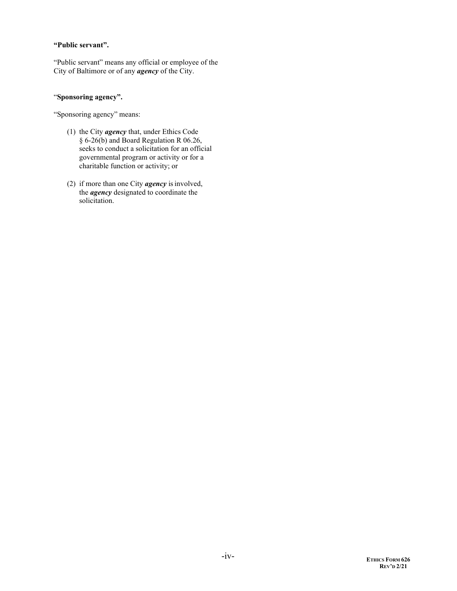#### **"Public servant".**

"Public servant" means any official or employee of the City of Baltimore or of any *agency* of the City.

#### "**Sponsoring agency".**

"Sponsoring agency" means:

- (1) the City *agency* that, under Ethics Code § 6-26(b) and Board Regulation R 06.26, seeks to conduct a solicitation for an official governmental program or activity or for a charitable function or activity; or
- (2) if more than one City *agency* isinvolved, the *agency* designated to coordinate the solicitation.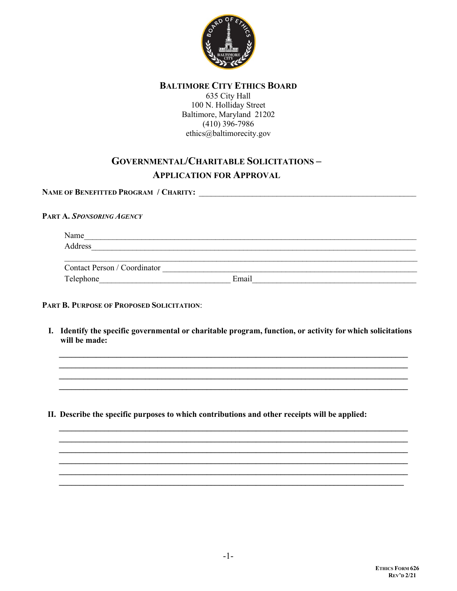

## **BALTIMORE CITY ETHICS BOARD**

635 City Hall 100 N. Holliday Street Baltimore, Maryland 21202  $(410)$  396-7986 ethics@baltimorecity.gov

# **GOVERNMENTAL/CHARITABLE SOLICITATIONS-APPLICATION FOR APPROVAL**

## PART A. SPONSORING AGENCY

| Name                                                                                                                                                                                                                                                                                                                                                                                                                   |  |  |
|------------------------------------------------------------------------------------------------------------------------------------------------------------------------------------------------------------------------------------------------------------------------------------------------------------------------------------------------------------------------------------------------------------------------|--|--|
| Address                                                                                                                                                                                                                                                                                                                                                                                                                |  |  |
|                                                                                                                                                                                                                                                                                                                                                                                                                        |  |  |
| $\alpha$ , $\alpha$ , $\alpha$ , $\alpha$ , $\alpha$ , $\alpha$ , $\alpha$ , $\alpha$ , $\alpha$ , $\alpha$ , $\alpha$ , $\alpha$ , $\alpha$ , $\alpha$ , $\alpha$ , $\alpha$ , $\alpha$ , $\alpha$ , $\alpha$ , $\alpha$ , $\alpha$ , $\alpha$ , $\alpha$ , $\alpha$ , $\alpha$ , $\alpha$ , $\alpha$ , $\alpha$ , $\alpha$ , $\alpha$ , $\alpha$ , $\alpha$ , $\alpha$ , $\alpha$ , $\alpha$ , $\alpha$ , $\alpha$ , |  |  |

| ്റനി<br>~son<br>tacı.<br>n |     |  |
|----------------------------|-----|--|
| Tel<br>.                   | . . |  |
|                            |     |  |

## PART B. PURPOSE OF PROPOSED SOLICITATION:

I. Identify the specific governmental or charitable program, function, or activity for which solicitations will be made:

II. Describe the specific purposes to which contributions and other receipts will be applied: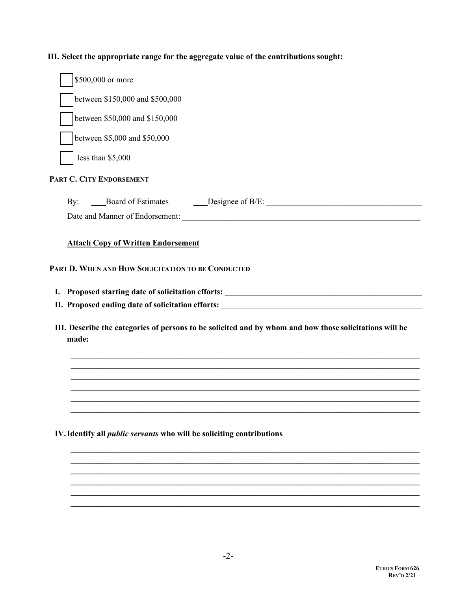**III. Select the appropriate range for the aggregate value of the contributions sought:**

|            | \$500,000 or more                                                            |                                                                                                         |
|------------|------------------------------------------------------------------------------|---------------------------------------------------------------------------------------------------------|
|            | between \$150,000 and \$500,000                                              |                                                                                                         |
|            | between \$50,000 and \$150,000                                               |                                                                                                         |
|            | between \$5,000 and \$50,000                                                 |                                                                                                         |
|            |                                                                              |                                                                                                         |
|            | less than \$5,000                                                            |                                                                                                         |
|            | PART C. CITY ENDORSEMENT                                                     |                                                                                                         |
| $\rm\,By:$ |                                                                              | Board of Estimates Conservation Designee of B/E:                                                        |
|            |                                                                              |                                                                                                         |
|            | PART D. WHEN AND HOW SOLICITATION TO BE CONDUCTED                            |                                                                                                         |
|            |                                                                              |                                                                                                         |
| made:      |                                                                              | III. Describe the categories of persons to be solicited and by whom and how those solicitations will be |
|            |                                                                              |                                                                                                         |
|            |                                                                              |                                                                                                         |
|            |                                                                              |                                                                                                         |
|            | IV. Identify all <i>public servants</i> who will be soliciting contributions |                                                                                                         |
|            |                                                                              |                                                                                                         |

**\_\_\_\_\_\_\_\_\_\_\_\_\_\_\_\_\_\_\_\_\_\_\_\_\_\_\_\_\_\_\_\_\_\_\_\_\_\_\_\_\_\_\_\_\_\_\_\_\_\_\_\_\_\_\_\_\_\_\_\_\_\_\_\_\_\_\_\_\_\_\_\_\_\_\_\_\_\_\_\_\_\_\_\_\_ \_\_\_\_\_\_\_\_\_\_\_\_\_\_\_\_\_\_\_\_\_\_\_\_\_\_\_\_\_\_\_\_\_\_\_\_\_\_\_\_\_\_\_\_\_\_\_\_\_\_\_\_\_\_\_\_\_\_\_\_\_\_\_\_\_\_\_\_\_\_\_\_\_\_\_\_\_\_\_\_\_\_\_\_\_**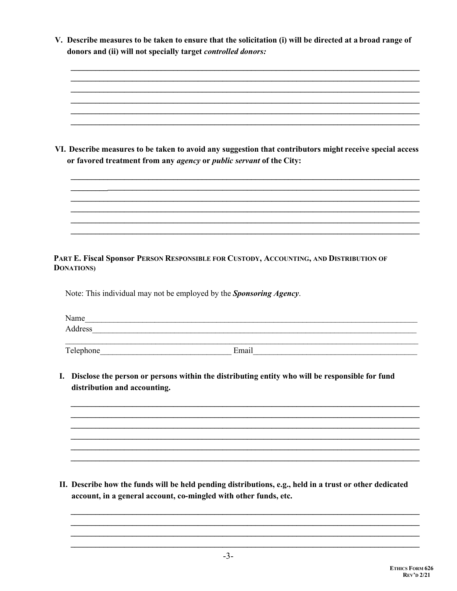V. Describe measures to be taken to ensure that the solicitation (i) will be directed at a broad range of donors and (ii) will not specially target *controlled donors*:

|                                    | VI. Describe measures to be taken to avoid any suggestion that contributors might receive special access<br>or favored treatment from any agency or public servant of the City: |
|------------------------------------|---------------------------------------------------------------------------------------------------------------------------------------------------------------------------------|
|                                    |                                                                                                                                                                                 |
|                                    |                                                                                                                                                                                 |
|                                    |                                                                                                                                                                                 |
| <b>DONATIONS</b> )                 | PART E. Fiscal Sponsor PERSON RESPONSIBLE FOR CUSTODY, ACCOUNTING, AND DISTRIBUTION OF                                                                                          |
|                                    | Note: This individual may not be employed by the Sponsoring Agency.                                                                                                             |
|                                    |                                                                                                                                                                                 |
|                                    |                                                                                                                                                                                 |
|                                    |                                                                                                                                                                                 |
| I.<br>distribution and accounting. | Disclose the person or persons within the distributing entity who will be responsible for fund                                                                                  |
|                                    |                                                                                                                                                                                 |
|                                    |                                                                                                                                                                                 |
|                                    |                                                                                                                                                                                 |
|                                    |                                                                                                                                                                                 |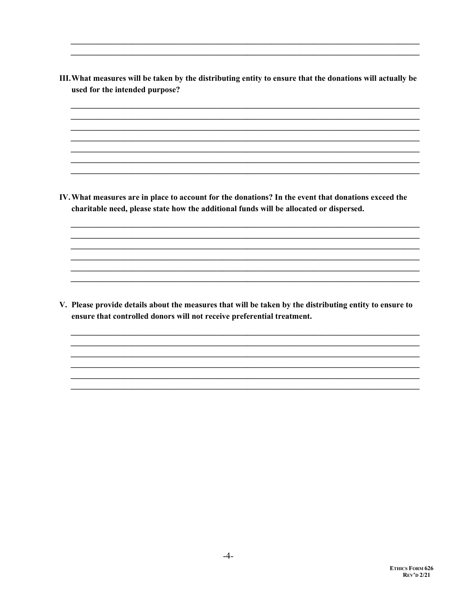- III. What measures will be taken by the distributing entity to ensure that the donations will actually be used for the intended purpose? IV. What measures are in place to account for the donations? In the event that donations exceed the charitable need, please state how the additional funds will be allocated or dispersed. V. Please provide details about the measures that will be taken by the distributing entity to ensure to
- ensure that controlled donors will not receive preferential treatment.